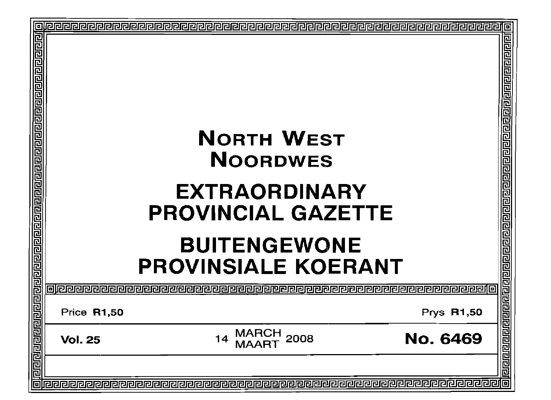| <u> विविद्य निमन निर्माण को संस्कृति निर्माण को संस्कृति निर्माण को संस्कृत निर्माण को स</u> | <b>NORTH WEST</b><br><b>NOORDWES</b><br><b>EXTRAORDINARY</b><br><b>PROVINCIAL GAZETTE</b><br><b>BUITENGEWONE</b><br><b>PROVINSIALE KOERANT</b> |                                   |                 |                                    |
|----------------------------------------------------------------------------------------------|------------------------------------------------------------------------------------------------------------------------------------------------|-----------------------------------|-----------------|------------------------------------|
|                                                                                              | 同胞包包                                                                                                                                           | @@@@@@@@@@@@@@@@@@@@@@@@@@@@@@@@@ |                 |                                    |
|                                                                                              | <b>Price R1,50</b>                                                                                                                             |                                   | Prys R1,50      |                                    |
|                                                                                              | <b>Vol. 25</b>                                                                                                                                 | MARCH<br>2008<br>14               | <b>No. 6469</b> | विरावस बाबाबाब बाबा बाबा बाबा बाबा |
|                                                                                              |                                                                                                                                                |                                   |                 |                                    |
| 扃                                                                                            |                                                                                                                                                |                                   |                 | 回                                  |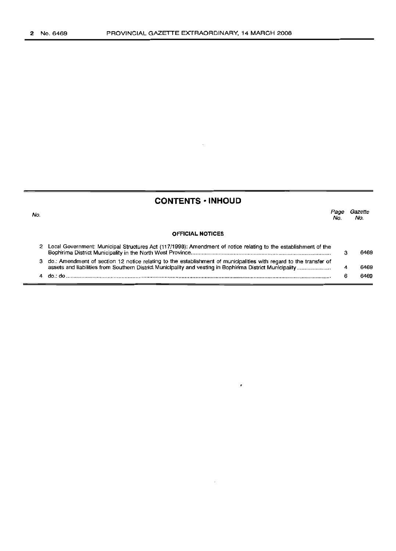# **CONTENTS -INHOUD**

No. **OFFICIAL NOTICES** Page Gazette<br>No. No. No. No. 2 Local Government: Municipal Structures Act (117/1998): Amendment of notice relating to the establishment of the Bophirima District Municipality in the North West Province . 3 do.: Amendment of section 12 notice relating to the establishment of municipalities with regard to the transfer of assets and liabilities from Southern District Municipality and vesting in Bophirima District Municipality . 4 do.: do . 3 4 6 6469 6469 6469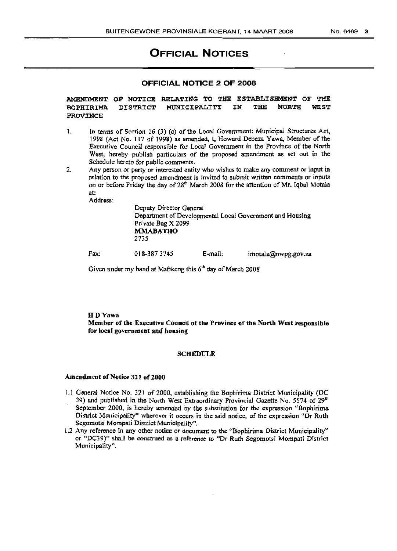# **OFFICIAL NOTICES**

### **OFFICIAL NOTICE 2 OF 2008**

AMENDMENT OF NOTICE RELATING TO THE ESTABLISHMENT OF THE BOPHIRIMA DISTRICT MUNICIPALITY IN THE NORTH WEST **PROVINCE** 

- I. In terms of Section 16 (3) (c) of the Local Government: Municipal Structures Act, 1998 (Act No. 117 of 1998) as amended, I, Howard Debeza Yawa, Member of the Executive Council responsible for Local Government in the Province of the North West, hereby publish particulars of the proposed amendment as set out in the Schedule hereto for public comments.
- 2. Any person or party or interested entity who wishes to make any comment or input in relation to the proposed amendment is invited to submit written comments or inputs on or before Friday the day of 28<sup>th</sup> March 2008 for the attention of Mr. Iqbal Motala at:

Address;

Deputy Director General Department of Developmental Local Government and Housing Private Bag X 2099 MMABATHO 2735

Fax: 018-387 3745 E-mail: imotala@nwpg.gov.za

Given under my hand at Mafikeng this  $6<sup>th</sup>$  day of March 2008

### HDYawa Member of the Executive Council of the Province of the North West responsible for local government and housing

#### **SCHEDULE**

#### Amendment of Notice 321 of 2000

- 1.1 General Notice No. 321 of 2000, establishing the Bophirima District Municipality (DC 39) and published in the North West Extraordinary Provincial Gazette No. 5574 of 29<sup>th</sup> September 2000, is hereby amended by the substitution for the expression "Bophirima District Municipality" wherever it occurs in the said notice, of the expression "Dr Ruth Segomotsi Mompati District Municipality".
- 1.2 Any reference in any other notice or document to the "Bophirirna District Municipality" or "DC39)" shall be construed as a reference to "Dr Ruth Segornotsi Mompati District Municipality".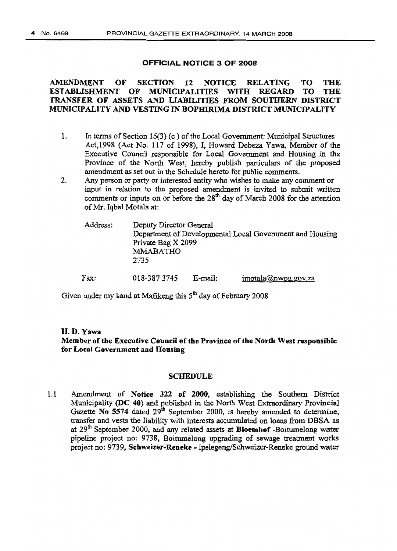### OFFICIAL NOTICE 3 OF 2008

# AMENDMENT or SECTION <sup>12</sup> NOTICE RELATING TO THE ESTABLISHMENT OF MUNICIPALITIES WITH REGARD TO THE TRANSFER OF ASSETS AND LIABILITIES FROM SOUTHERN DISTRICT MUNICIPALITY AND VESTING IN BOPHIRIMA DISTRICT MUNICIPALITY

- 1. In terms of Section 16(3) (c) of the Local Government: Municipal Structures Act,1998 (Act No. 117 of 1998), I, Howard Debeza Yawa, Member of the Executive Council responsible for Local Government and Housing in the Province of the North West, hereby publish particulars of the proposed amendment as set out in the Schedule hereto for public comments.
- 2. Any person Or party or interested entity who wishes to make any comment or input in relation to the proposed amendment is invited to submit written comments or inputs on or before the  $28<sup>th</sup>$  day of March 2008 for the attention ofMr. Iqbal Motala at:

| Address: | Deputy Director General<br>Private Bag X 2099<br><b>MMABATHO</b><br>2735 |         | Department of Developmental Local Government and Housing |
|----------|--------------------------------------------------------------------------|---------|----------------------------------------------------------|
| Fax:     | 018-3873745                                                              | E-mail: | imotala(a) nwpq qo v. za                                 |

Given under my hand at Mafikeng this  $5<sup>th</sup>$  day of February 2008

# H.D.Yawa Member of the Executive Council of the Province of the North West responsible for Local Government and Housing

### SCHEDULE

1.1 Amendment of Notice 322 of 2000, establishing the Southern District Municipality ( $DC$  40) and published in the North West Extraordinary Provincial Gazette No 5574 dated  $29<sup>th</sup>$  September 2000, is hereby amended to determine, transfer and vests the liability with interests accumulated on loans from DSSA as at  $29<sup>th</sup>$  September 2000, and any related assets at **Bloemhof** -Boitumelong water pipeline project no: 9738, Boitumelong upgrading of sewage treatment works project no: 9739, Schweizer-Reneke - Ipelegeng/Schweizer-Reneke ground water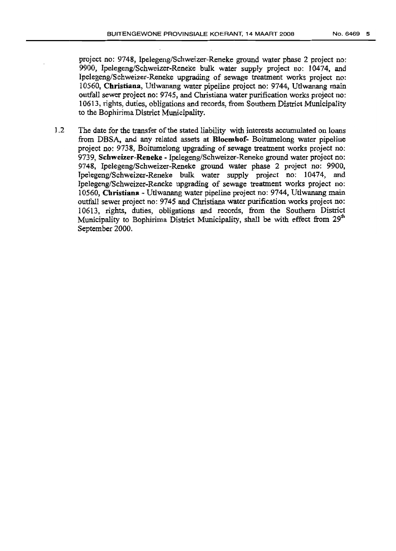project no: 9748, Ipelegeng/Schweizer-Reneke ground water phase 2 project no: 9900, Ipelegeng/Schweizer-Reneke bulk water supply project no: 10474. and Ipelegeng/Schweizer-Reneke upgrading of sewage treatment works project no: 10560, Christiana, Utlwanang water pipeline project no: 9744, Utlwanang main outfall sewer project no: 9745, and Christiana water purification works project no: 10613, rights, duties. obligations and records, from Southern District Municipality to the Bophirirna District Municipality.

1.2 The date for the transfer of the stated liability with interests accumulated on loans from DBSA, and any related assets at Bloemhof- Boitumelong water pipeline project no: 9738, Boitumelong upgrading of sewage treatment works project no: 9739, Schweizer-Reneke - Ipelegeng/Schweizer-Reneke ground water project no: 9748. Ipelegeng/Schweizer-Reneke ground water phase 2 project no: 9900. Ipelegeng/Schweizer-Reneke bulk water supply project no: 10474, and lpelegeng/Schwcizer-Reneke upgrading of sewage treatment works project no: 10560, Christiana Utlwanang water pipeline project no: 9744. Utlwanang main outfall sewer project no: 9745 and Christiana water purification works project no: 10613. rights, duties, obligations and records, from the Southern District Municipality to Bophirima District Municipality, shall be with effect from 29<sup>th</sup> September 2000,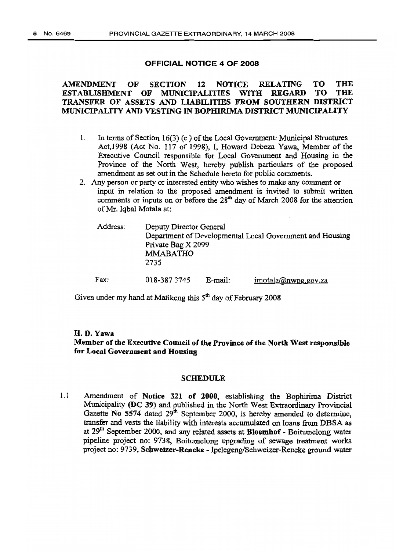### OFFICIAL NOTICE 4 OF 2008

### AMENDMENT OF SECTION 12 NOTICE RELATING TO THE ESTABLISHMENT OF MUNICIPALITIES WITH REGARD TO THE TRANSFER OF ASSETS AND LIABILITIES FROM SOUTHERN DISTRICT MUNICIPALITY AND VESTING IN BOrIDRIMA DISTRICT MUNICIPALITY

- 1. In terms of Section  $16(3)$  (c) of the Local Government: Municipal Structures Act,1998 (Act No. 117 of 1998), I, Howard Debeza Yawa, Member of the Executive Council responsible for Local Government and Housing in the Province of the North West; hereby publish particulars of the proposed amendment as set out in the Schedule hereto for public comments.
- 2. Any person or party or interested entity who wishes to make any comment or input in relation to the proposed amendment is invited to submit written comments or inputs on or before the  $28<sup>th</sup>$  day of March 2008 for the attention ofMr. Iqbal Motala at:

| Address: | Deputy Director General<br>Department of Developmental Local Government and Housing<br>Private Bag X 2099<br><b>MMABATHO</b><br>2735 |         |                               |  |
|----------|--------------------------------------------------------------------------------------------------------------------------------------|---------|-------------------------------|--|
| Fax:     | 018-3873745                                                                                                                          | E-mail: | $imotala(\omega)$ nwpg.gov.za |  |

Given under my hand at Mafikeng this  $5<sup>th</sup>$  day of February 2008

### H.D.Yawa

Member of the Executive Council of the Province of the North West responsible for Local Government and Housing

#### SCHEDULE

1.1 Amendment of Notice 321 of 2000, establishing the Bophirima District Municipality (DC 39) and published in the North West Extraordinary Provincial Gazette No 5574 dated  $29<sup>th</sup>$  September 2000, is hereby amended to determine, transfer and vests the liability with interests accumulated on loans from OBSA as at 29<sup>th</sup> September 2000, and any related assets at **Bloemhof** - Boitumelong water pipeline project no: 9738, Boitumelong upgrading of sewage treatment works project no: 9739, Schweizer-Reueke - Ipelegeng/Schweizer-Reneke ground water